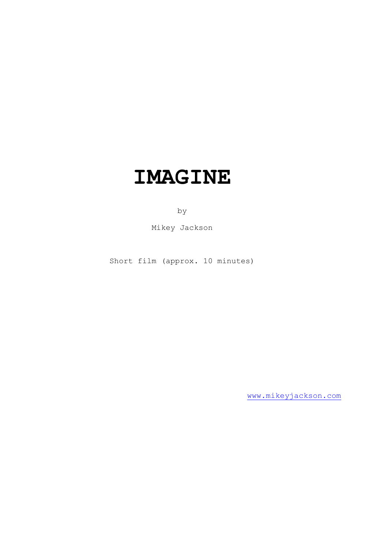# **IMAGINE**

by

Mikey Jackson

Short film (approx. 10 minutes)

[www.mikeyjackson.com](http://www.mikeyjackson.com/)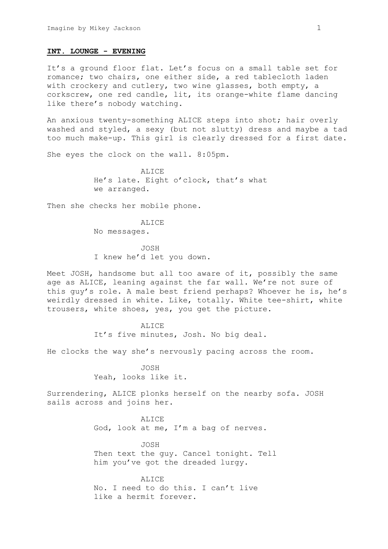#### **INT. LOUNGE - EVENING**

It's a ground floor flat. Let's focus on a small table set for romance; two chairs, one either side, a red tablecloth laden with crockery and cutlery, two wine glasses, both empty, a corkscrew, one red candle, lit, its orange-white flame dancing like there's nobody watching.

An anxious twenty-something ALICE steps into shot; hair overly washed and styled, a sexy (but not slutty) dress and maybe a tad too much make-up. This girl is clearly dressed for a first date.

She eyes the clock on the wall. 8:05pm.

ALICE He's late. Eight o'clock, that's what we arranged.

Then she checks her mobile phone.

ALICE No messages.

JOSH I knew he'd let you down.

Meet JOSH, handsome but all too aware of it, possibly the same age as ALICE, leaning against the far wall. We're not sure of this guy's role. A male best friend perhaps? Whoever he is, he's weirdly dressed in white. Like, totally. White tee-shirt, white trousers, white shoes, yes, you get the picture.

> ALICE It's five minutes, Josh. No big deal.

He clocks the way she's nervously pacing across the room.

JOSH Yeah, looks like it.

Surrendering, ALICE plonks herself on the nearby sofa. JOSH sails across and joins her.

> ALICE God, look at me, I'm a bag of nerves.

JOSH Then text the guy. Cancel tonight. Tell him you've got the dreaded lurgy.

ALICE No. I need to do this. I can't live like a hermit forever.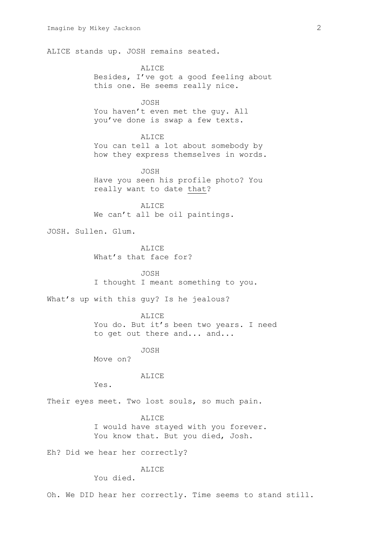ALICE stands up. JOSH remains seated.

ALICE Besides, I've got a good feeling about this one. He seems really nice.

JOSH You haven't even met the guy. All you've done is swap a few texts.

ALICE You can tell a lot about somebody by how they express themselves in words.

JOSH Have you seen his profile photo? You really want to date that?

ALICE We can't all be oil paintings.

JOSH. Sullen. Glum.

**ALICE** What's that face for?

JOSH I thought I meant something to you.

What's up with this guy? Is he jealous?

ALICE

You do. But it's been two years. I need to get out there and... and...

JOSH

Move on?

ALICE

Yes.

Their eyes meet. Two lost souls, so much pain.

ALICE

I would have stayed with you forever. You know that. But you died, Josh.

Eh? Did we hear her correctly?

**ALICE** 

You died.

Oh. We DID hear her correctly. Time seems to stand still.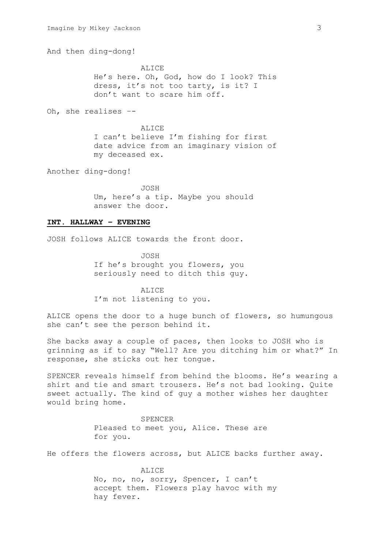And then ding-dong!

ALICE He's here. Oh, God, how do I look? This dress, it's not too tarty, is it? I don't want to scare him off.

Oh, she realises –-

ALICE I can't believe I'm fishing for first date advice from an imaginary vision of my deceased ex.

Another ding-dong!

JOSH Um, here's a tip. Maybe you should answer the door.

## **INT. HALLWAY – EVENING**

JOSH follows ALICE towards the front door.

JOSH If he's brought you flowers, you seriously need to ditch this guy.

**ALICE** I'm not listening to you.

ALICE opens the door to a huge bunch of flowers, so humungous she can't see the person behind it.

She backs away a couple of paces, then looks to JOSH who is grinning as if to say "Well? Are you ditching him or what?" In response, she sticks out her tongue.

SPENCER reveals himself from behind the blooms. He's wearing a shirt and tie and smart trousers. He's not bad looking. Quite sweet actually. The kind of guy a mother wishes her daughter would bring home.

> SPENCER Pleased to meet you, Alice. These are for you.

He offers the flowers across, but ALICE backs further away.

ALICE No, no, no, sorry, Spencer, I can't accept them. Flowers play havoc with my hay fever.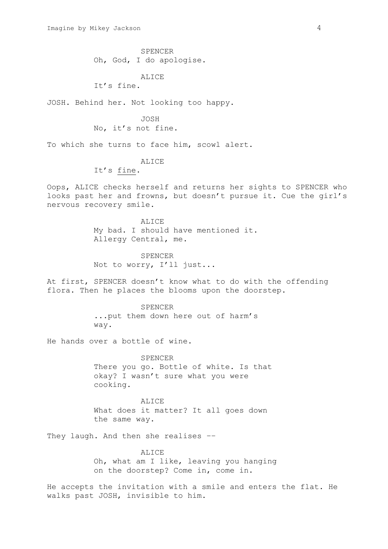SPENCER Oh, God, I do apologise.

ALICE

It's fine.

JOSH. Behind her. Not looking too happy.

JOSH No, it's not fine.

To which she turns to face him, scowl alert.

ALICE

It's fine.

Oops, ALICE checks herself and returns her sights to SPENCER who looks past her and frowns, but doesn't pursue it. Cue the girl's nervous recovery smile.

> ALICE My bad. I should have mentioned it. Allergy Central, me.

SPENCER Not to worry, I'll just...

At first, SPENCER doesn't know what to do with the offending flora. Then he places the blooms upon the doorstep.

> SPENCER ...put them down here out of harm's way.

He hands over a bottle of wine.

SPENCER There you go. Bottle of white. Is that okay? I wasn't sure what you were cooking.

ALICE What does it matter? It all goes down the same way.

They laugh. And then she realises ––

ALICE Oh, what am I like, leaving you hanging on the doorstep? Come in, come in.

He accepts the invitation with a smile and enters the flat. He walks past JOSH, invisible to him.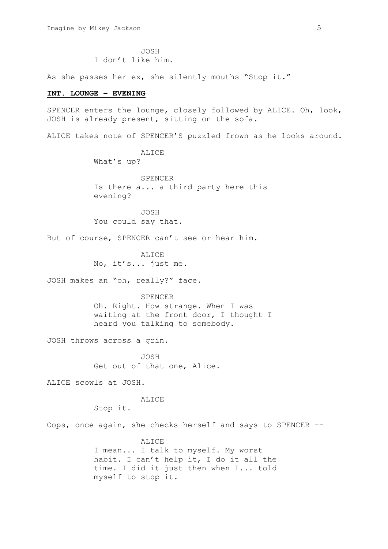JOSH I don't like him.

As she passes her ex, she silently mouths "Stop it."

## **INT. LOUNGE – EVENING**

SPENCER enters the lounge, closely followed by ALICE. Oh, look, JOSH is already present, sitting on the sofa.

ALICE takes note of SPENCER'S puzzled frown as he looks around.

ALICE What's up?

SPENCER Is there a... a third party here this evening?

JOSH You could say that.

But of course, SPENCER can't see or hear him.

ALICE No, it's... just me.

JOSH makes an "oh, really?" face.

SPENCER

Oh. Right. How strange. When I was waiting at the front door, I thought I heard you talking to somebody.

JOSH throws across a grin.

JOSH Get out of that one, Alice.

ALICE scowls at JOSH.

**ALICE** 

Stop it.

Oops, once again, she checks herself and says to SPENCER –-

ALICE I mean... I talk to myself. My worst habit. I can't help it, I do it all the time. I did it just then when I... told myself to stop it.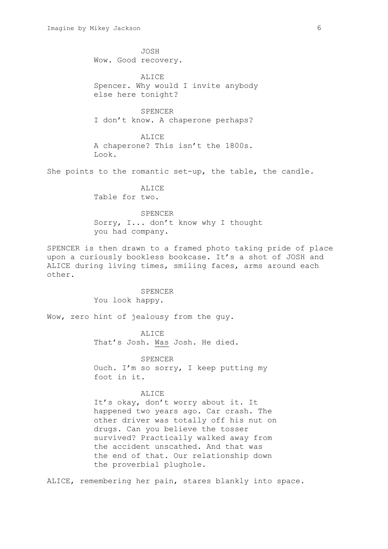JOSH Wow. Good recovery. ALICE Spencer. Why would I invite anybody else here tonight? SPENCER I don't know. A chaperone perhaps? ALICE A chaperone? This isn't the 1800s. Look. She points to the romantic set-up, the table, the candle. ALICE Table for two. SPENCER Sorry, I... don't know why I thought you had company. SPENCER is then drawn to a framed photo taking pride of place upon a curiously bookless bookcase. It's a shot of JOSH and ALICE during living times, smiling faces, arms around each other. SPENCER

You look happy.

Wow, zero hint of jealousy from the guy.

ALICE That's Josh. Was Josh. He died.

SPENCER Ouch. I'm so sorry, I keep putting my foot in it.

## ALICE

It's okay, don't worry about it. It happened two years ago. Car crash. The other driver was totally off his nut on drugs. Can you believe the tosser survived? Practically walked away from the accident unscathed. And that was the end of that. Our relationship down the proverbial plughole.

ALICE, remembering her pain, stares blankly into space.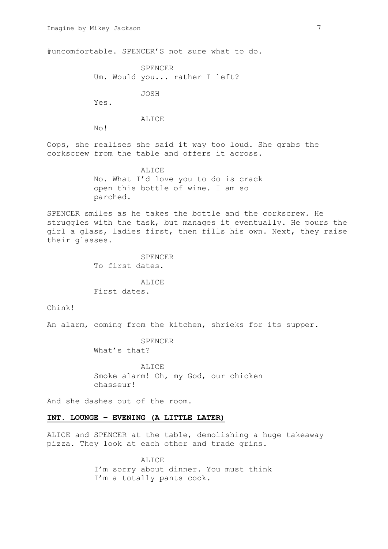#uncomfortable. SPENCER'S not sure what to do.

SPENCER Um. Would you... rather I left?

JOSH

Yes.

**ALICE** 

No!

Oops, she realises she said it way too loud. She grabs the corkscrew from the table and offers it across.

> ALICE No. What I'd love you to do is crack open this bottle of wine. I am so parched.

SPENCER smiles as he takes the bottle and the corkscrew. He struggles with the task, but manages it eventually. He pours the girl a glass, ladies first, then fills his own. Next, they raise their glasses.

> SPENCER To first dates.

**ALICE** First dates.

Chink!

An alarm, coming from the kitchen, shrieks for its supper.

SPENCER What's that?

ALICE Smoke alarm! Oh, my God, our chicken chasseur!

And she dashes out of the room.

# **INT. LOUNGE – EVENING (A LITTLE LATER)**

ALICE and SPENCER at the table, demolishing a huge takeaway pizza. They look at each other and trade grins.

> **ALICE** I'm sorry about dinner. You must think I'm a totally pants cook.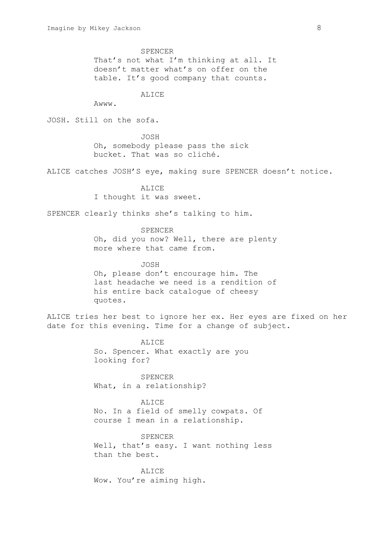SPENCER That's not what I'm thinking at all. It doesn't matter what's on offer on the table. It's good company that counts.

**ALICE** 

Awww.

JOSH. Still on the sofa.

JOSH Oh, somebody please pass the sick bucket. That was so cliché.

ALICE catches JOSH'S eye, making sure SPENCER doesn't notice.

ALICE I thought it was sweet.

SPENCER clearly thinks she's talking to him.

SPENCER Oh, did you now? Well, there are plenty more where that came from.

JOSH Oh, please don't encourage him. The last headache we need is a rendition of his entire back catalogue of cheesy quotes.

ALICE tries her best to ignore her ex. Her eyes are fixed on her date for this evening. Time for a change of subject.

> ALICE So. Spencer. What exactly are you looking for?

SPENCER What, in a relationship?

ALICE No. In a field of smelly cowpats. Of course I mean in a relationship.

SPENCER Well, that's easy. I want nothing less than the best.

ALICE Wow. You're aiming high.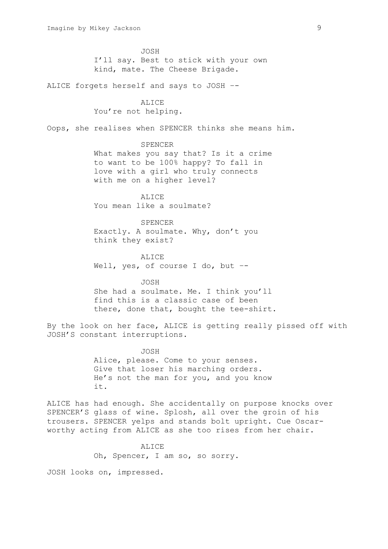JOSH I'll say. Best to stick with your own kind, mate. The Cheese Brigade.

ALICE forgets herself and says to JOSH –-

ALICE You're not helping.

Oops, she realises when SPENCER thinks she means him.

SPENCER What makes you say that? Is it a crime to want to be 100% happy? To fall in love with a girl who truly connects with me on a higher level?

**ALICE** You mean like a soulmate?

SPENCER Exactly. A soulmate. Why, don't you think they exist?

ALICE Well, yes, of course I do, but --

JOSH She had a soulmate. Me. I think you'll find this is a classic case of been there, done that, bought the tee-shirt.

By the look on her face, ALICE is getting really pissed off with JOSH'S constant interruptions.

> JOSH Alice, please. Come to your senses. Give that loser his marching orders. He's not the man for you, and you know it.

ALICE has had enough. She accidentally on purpose knocks over SPENCER'S glass of wine. Splosh, all over the groin of his trousers. SPENCER yelps and stands bolt upright. Cue Oscarworthy acting from ALICE as she too rises from her chair.

> ALICE. Oh, Spencer, I am so, so sorry.

JOSH looks on, impressed.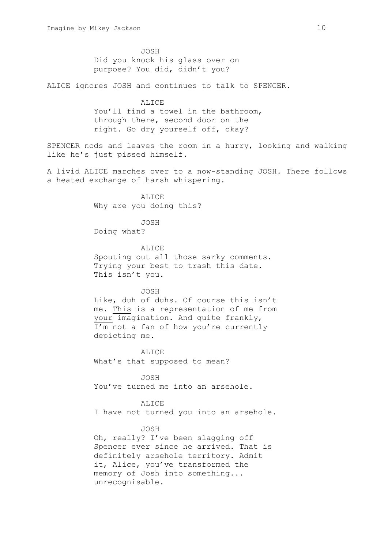JOSH Did you knock his glass over on purpose? You did, didn't you?

ALICE ignores JOSH and continues to talk to SPENCER.

**ALICE** You'll find a towel in the bathroom, through there, second door on the right. Go dry yourself off, okay?

SPENCER nods and leaves the room in a hurry, looking and walking like he's just pissed himself.

A livid ALICE marches over to a now-standing JOSH. There follows a heated exchange of harsh whispering.

> **ALICE** Why are you doing this?

JOSH Doing what?

ALICE Spouting out all those sarky comments. Trying your best to trash this date. This isn't you.

JOSH Like, duh of duhs. Of course this isn't me. This is a representation of me from your imagination. And quite frankly, I'm not a fan of how you're currently depicting me.

**ALICE** What's that supposed to mean?

JOSH You've turned me into an arsehole.

ALICE

I have not turned you into an arsehole.

JOSH

Oh, really? I've been slagging off Spencer ever since he arrived. That is definitely arsehole territory. Admit it, Alice, you've transformed the memory of Josh into something... unrecognisable.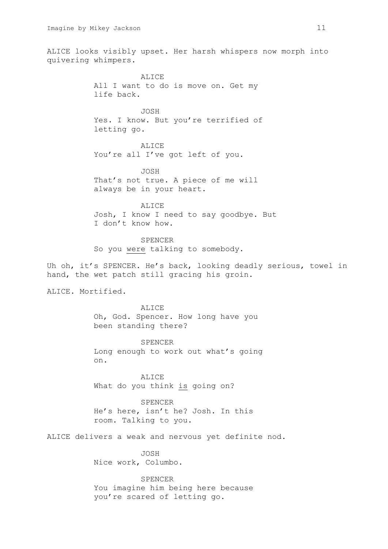ALICE looks visibly upset. Her harsh whispers now morph into quivering whimpers.

> ALICE All I want to do is move on. Get my life back.

JOSH Yes. I know. But you're terrified of letting go.

ALICE You're all I've got left of you.

JOSH That's not true. A piece of me will always be in your heart.

ALICE Josh, I know I need to say goodbye. But I don't know how.

SPENCER So you were talking to somebody.

Uh oh, it's SPENCER. He's back, looking deadly serious, towel in hand, the wet patch still gracing his groin.

ALICE. Mortified.

ALICE Oh, God. Spencer. How long have you been standing there?

SPENCER Long enough to work out what's going on.

ALICE What do you think is going on?

SPENCER He's here, isn't he? Josh. In this room. Talking to you.

ALICE delivers a weak and nervous yet definite nod.

JOSH Nice work, Columbo.

SPENCER You imagine him being here because you're scared of letting go.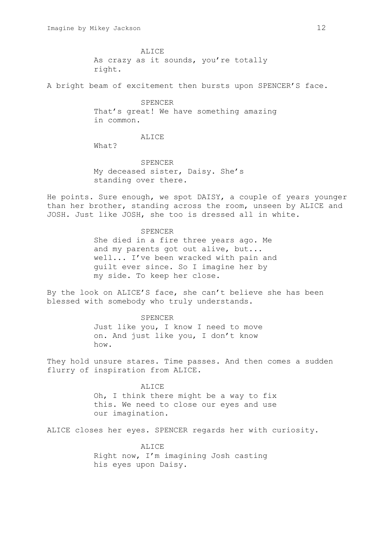ALICE As crazy as it sounds, you're totally right.

A bright beam of excitement then bursts upon SPENCER'S face.

SPENCER That's great! We have something amazing in common.

ALICE

What?

SPENCER My deceased sister, Daisy. She's standing over there.

He points. Sure enough, we spot DAISY, a couple of years younger than her brother, standing across the room, unseen by ALICE and JOSH. Just like JOSH, she too is dressed all in white.

> SPENCER She died in a fire three years ago. Me and my parents got out alive, but... well... I've been wracked with pain and guilt ever since. So I imagine her by my side. To keep her close.

By the look on ALICE'S face, she can't believe she has been blessed with somebody who truly understands.

> SPENCER Just like you, I know I need to move on. And just like you, I don't know how.

They hold unsure stares. Time passes. And then comes a sudden flurry of inspiration from ALICE.

> ALICE Oh, I think there might be a way to fix this. We need to close our eyes and use our imagination.

ALICE closes her eyes. SPENCER regards her with curiosity.

**ALICE** Right now, I'm imagining Josh casting his eyes upon Daisy.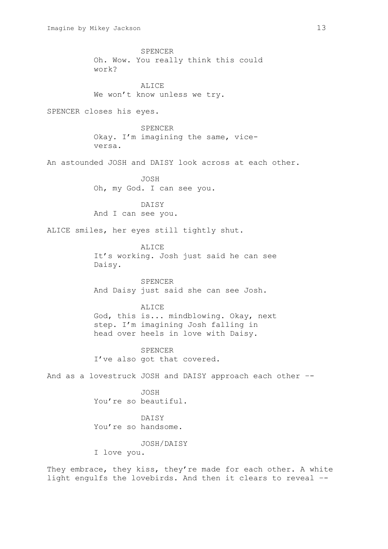SPENCER Oh. Wow. You really think this could work? **ALICE** We won't know unless we try. SPENCER closes his eyes. SPENCER Okay. I'm imagining the same, viceversa. An astounded JOSH and DAISY look across at each other. JOSH Oh, my God. I can see you. DAISY And I can see you. ALICE smiles, her eyes still tightly shut. ALICE It's working. Josh just said he can see Daisy. SPENCER And Daisy just said she can see Josh. ALICE God, this is... mindblowing. Okay, next step. I'm imagining Josh falling in head over heels in love with Daisy. SPENCER I've also got that covered. And as a lovestruck JOSH and DAISY approach each other –- JOSH You're so beautiful. DAISY You're so handsome. JOSH/DAISY I love you. They embrace, they kiss, they're made for each other. A white light engulfs the lovebirds. And then it clears to reveal –-